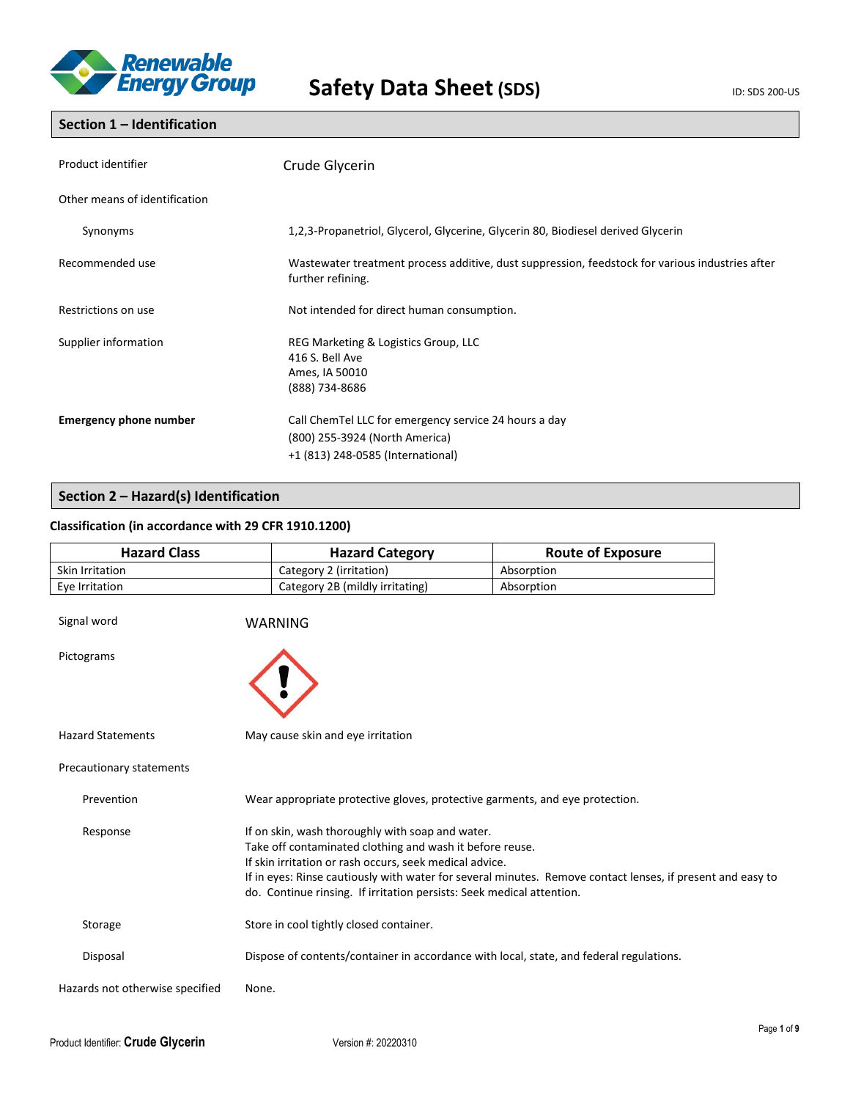

## **Section 1 – Identification**

| Product identifier            | Crude Glycerin                                                                                                               |  |
|-------------------------------|------------------------------------------------------------------------------------------------------------------------------|--|
| Other means of identification |                                                                                                                              |  |
| Synonyms                      | 1,2,3-Propanetriol, Glycerol, Glycerine, Glycerin 80, Biodiesel derived Glycerin                                             |  |
| Recommended use               | Wastewater treatment process additive, dust suppression, feedstock for various industries after<br>further refining.         |  |
| Restrictions on use           | Not intended for direct human consumption.                                                                                   |  |
| Supplier information          | REG Marketing & Logistics Group, LLC<br>416 S. Bell Ave<br>Ames, IA 50010<br>(888) 734-8686                                  |  |
| <b>Emergency phone number</b> | Call ChemTel LLC for emergency service 24 hours a day<br>(800) 255-3924 (North America)<br>+1 (813) 248-0585 (International) |  |

# **Section 2 – Hazard(s) Identification**

## **Classification (in accordance with 29 CFR 1910.1200)**

| <b>Hazard Class</b> | <b>Hazard Category</b>          | <b>Route of Exposure</b> |
|---------------------|---------------------------------|--------------------------|
| Skin Irritation     | Category 2 (irritation)         | Absorption               |
| Eve Irritation      | Category 2B (mildly irritating) | Absorption               |

| Signal word                     | <b>WARNING</b>                                                                                                                                                                                                                                                                                                                                                 |
|---------------------------------|----------------------------------------------------------------------------------------------------------------------------------------------------------------------------------------------------------------------------------------------------------------------------------------------------------------------------------------------------------------|
| Pictograms                      |                                                                                                                                                                                                                                                                                                                                                                |
| <b>Hazard Statements</b>        | May cause skin and eye irritation                                                                                                                                                                                                                                                                                                                              |
| Precautionary statements        |                                                                                                                                                                                                                                                                                                                                                                |
| Prevention                      | Wear appropriate protective gloves, protective garments, and eye protection.                                                                                                                                                                                                                                                                                   |
| Response                        | If on skin, wash thoroughly with soap and water.<br>Take off contaminated clothing and wash it before reuse.<br>If skin irritation or rash occurs, seek medical advice.<br>If in eyes: Rinse cautiously with water for several minutes. Remove contact lenses, if present and easy to<br>do. Continue rinsing. If irritation persists: Seek medical attention. |
| Storage                         | Store in cool tightly closed container.                                                                                                                                                                                                                                                                                                                        |
| Disposal                        | Dispose of contents/container in accordance with local, state, and federal regulations.                                                                                                                                                                                                                                                                        |
| Hazards not otherwise specified | None.                                                                                                                                                                                                                                                                                                                                                          |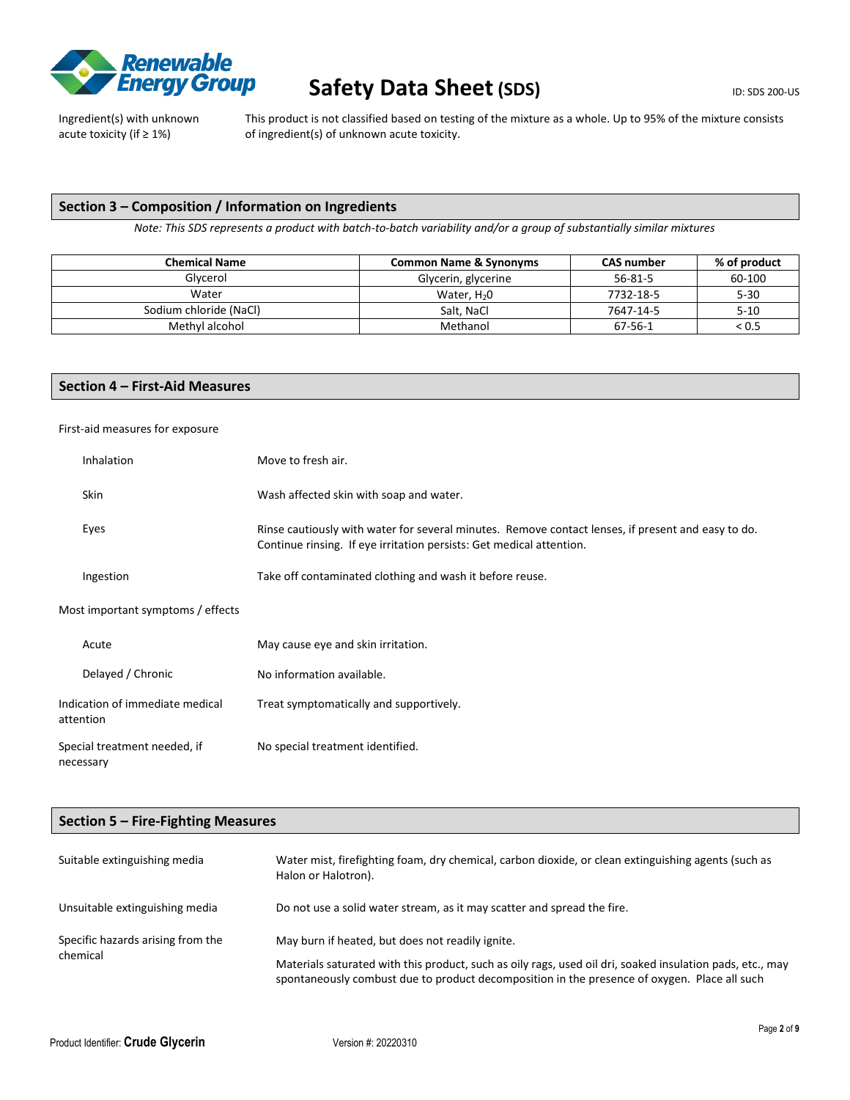

Ingredient(s) with unknown acute toxicity (if ≥ 1%)

This product is not classified based on testing of the mixture as a whole. Up to 95% of the mixture consists of ingredient(s) of unknown acute toxicity.

## **Section 3 – Composition / Information on Ingredients**

*Note: This SDS represents a product with batch-to-batch variability and/or a group of substantially similar mixtures*

| <b>Chemical Name</b>   | <b>Common Name &amp; Synonyms</b> | <b>CAS number</b> | % of product |
|------------------------|-----------------------------------|-------------------|--------------|
| Glycerol               | Glycerin, glycerine               | $56 - 81 - 5$     | 60-100       |
| Water                  | Water, $H20$                      | 7732-18-5         | $5 - 30$     |
| Sodium chloride (NaCl) | Salt, NaCl                        | 7647-14-5         | $5 - 10$     |
| Methyl alcohol         | Methanol                          | 67-56-1           | < 0.5        |

## **Section 4 – First-Aid Measures**

First-aid measures for exposure

| Inhalation                                   | Move to fresh air.                                                                                                                                                         |
|----------------------------------------------|----------------------------------------------------------------------------------------------------------------------------------------------------------------------------|
| Skin                                         | Wash affected skin with soap and water.                                                                                                                                    |
| Eyes                                         | Rinse cautiously with water for several minutes. Remove contact lenses, if present and easy to do.<br>Continue rinsing. If eye irritation persists: Get medical attention. |
| Ingestion                                    | Take off contaminated clothing and wash it before reuse.                                                                                                                   |
| Most important symptoms / effects            |                                                                                                                                                                            |
| Acute                                        | May cause eye and skin irritation.                                                                                                                                         |
| Delayed / Chronic                            | No information available.                                                                                                                                                  |
| Indication of immediate medical<br>attention | Treat symptomatically and supportively.                                                                                                                                    |
| Special treatment needed, if<br>necessary    | No special treatment identified.                                                                                                                                           |

## **Section 5 – Fire-Fighting Measures**

| Suitable extinguishing media                  | Water mist, firefighting foam, dry chemical, carbon dioxide, or clean extinguishing agents (such as<br>Halon or Halotron).                                                                                |  |
|-----------------------------------------------|-----------------------------------------------------------------------------------------------------------------------------------------------------------------------------------------------------------|--|
| Unsuitable extinguishing media                | Do not use a solid water stream, as it may scatter and spread the fire.                                                                                                                                   |  |
| Specific hazards arising from the<br>chemical | May burn if heated, but does not readily ignite.                                                                                                                                                          |  |
|                                               | Materials saturated with this product, such as oily rags, used oil dri, soaked insulation pads, etc., may<br>spontaneously combust due to product decomposition in the presence of oxygen. Place all such |  |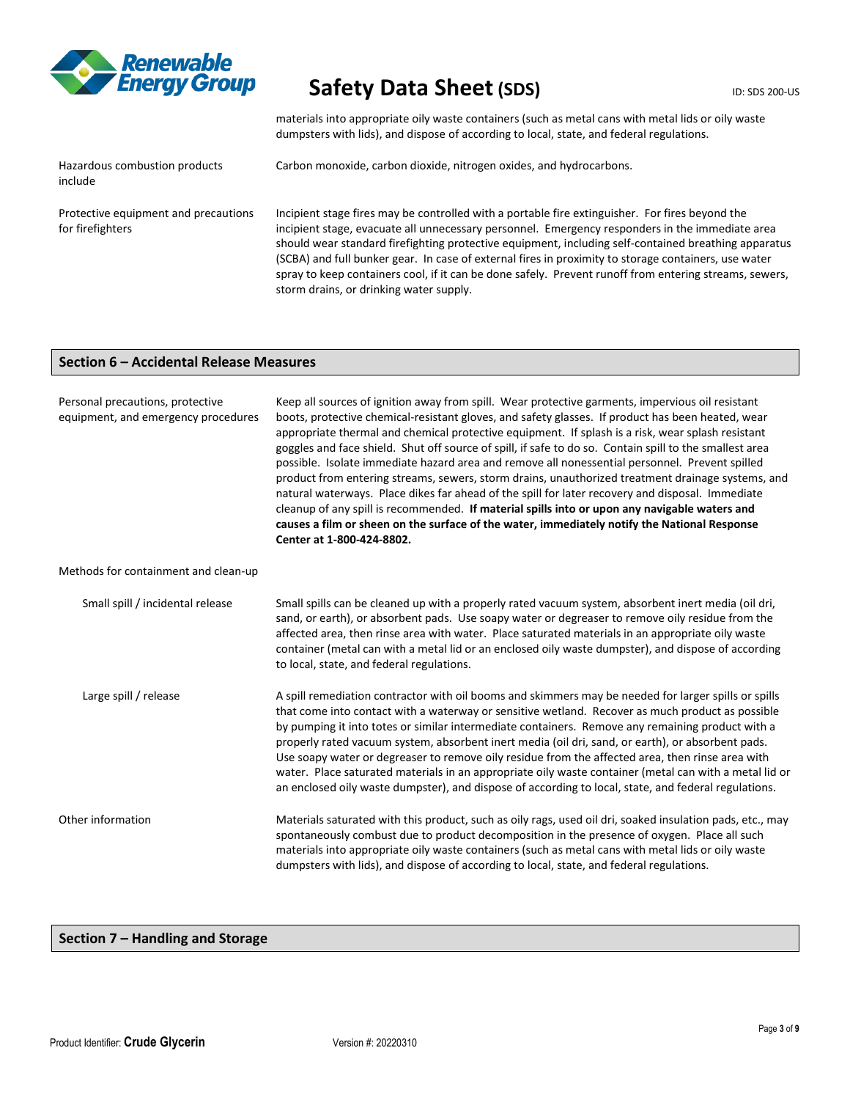

materials into appropriate oily waste containers (such as metal cans with metal lids or oily waste dumpsters with lids), and dispose of according to local, state, and federal regulations.

Hazardous combustion products include

Carbon monoxide, carbon dioxide, nitrogen oxides, and hydrocarbons.

Protective equipment and precautions for firefighters Incipient stage fires may be controlled with a portable fire extinguisher. For fires beyond the incipient stage, evacuate all unnecessary personnel. Emergency responders in the immediate area should wear standard firefighting protective equipment, including self-contained breathing apparatus (SCBA) and full bunker gear. In case of external fires in proximity to storage containers, use water spray to keep containers cool, if it can be done safely. Prevent runoff from entering streams, sewers, storm drains, or drinking water supply.

### **Section 6 – Accidental Release Measures**

| Personal precautions, protective<br>equipment, and emergency procedures | Keep all sources of ignition away from spill. Wear protective garments, impervious oil resistant<br>boots, protective chemical-resistant gloves, and safety glasses. If product has been heated, wear<br>appropriate thermal and chemical protective equipment. If splash is a risk, wear splash resistant<br>goggles and face shield. Shut off source of spill, if safe to do so. Contain spill to the smallest area<br>possible. Isolate immediate hazard area and remove all nonessential personnel. Prevent spilled<br>product from entering streams, sewers, storm drains, unauthorized treatment drainage systems, and<br>natural waterways. Place dikes far ahead of the spill for later recovery and disposal. Immediate<br>cleanup of any spill is recommended. If material spills into or upon any navigable waters and<br>causes a film or sheen on the surface of the water, immediately notify the National Response<br>Center at 1-800-424-8802. |  |
|-------------------------------------------------------------------------|----------------------------------------------------------------------------------------------------------------------------------------------------------------------------------------------------------------------------------------------------------------------------------------------------------------------------------------------------------------------------------------------------------------------------------------------------------------------------------------------------------------------------------------------------------------------------------------------------------------------------------------------------------------------------------------------------------------------------------------------------------------------------------------------------------------------------------------------------------------------------------------------------------------------------------------------------------------|--|
| Methods for containment and clean-up                                    |                                                                                                                                                                                                                                                                                                                                                                                                                                                                                                                                                                                                                                                                                                                                                                                                                                                                                                                                                                |  |
| Small spill / incidental release                                        | Small spills can be cleaned up with a properly rated vacuum system, absorbent inert media (oil dri,<br>sand, or earth), or absorbent pads. Use soapy water or degreaser to remove oily residue from the<br>affected area, then rinse area with water. Place saturated materials in an appropriate oily waste<br>container (metal can with a metal lid or an enclosed oily waste dumpster), and dispose of according<br>to local, state, and federal regulations.                                                                                                                                                                                                                                                                                                                                                                                                                                                                                               |  |
| Large spill / release                                                   | A spill remediation contractor with oil booms and skimmers may be needed for larger spills or spills<br>that come into contact with a waterway or sensitive wetland. Recover as much product as possible<br>by pumping it into totes or similar intermediate containers. Remove any remaining product with a<br>properly rated vacuum system, absorbent inert media (oil dri, sand, or earth), or absorbent pads.<br>Use soapy water or degreaser to remove oily residue from the affected area, then rinse area with<br>water. Place saturated materials in an appropriate oily waste container (metal can with a metal lid or<br>an enclosed oily waste dumpster), and dispose of according to local, state, and federal regulations.                                                                                                                                                                                                                        |  |
| Other information                                                       | Materials saturated with this product, such as oily rags, used oil dri, soaked insulation pads, etc., may<br>spontaneously combust due to product decomposition in the presence of oxygen. Place all such<br>materials into appropriate oily waste containers (such as metal cans with metal lids or oily waste<br>dumpsters with lids), and dispose of according to local, state, and federal regulations.                                                                                                                                                                                                                                                                                                                                                                                                                                                                                                                                                    |  |

## **Section 7 – Handling and Storage**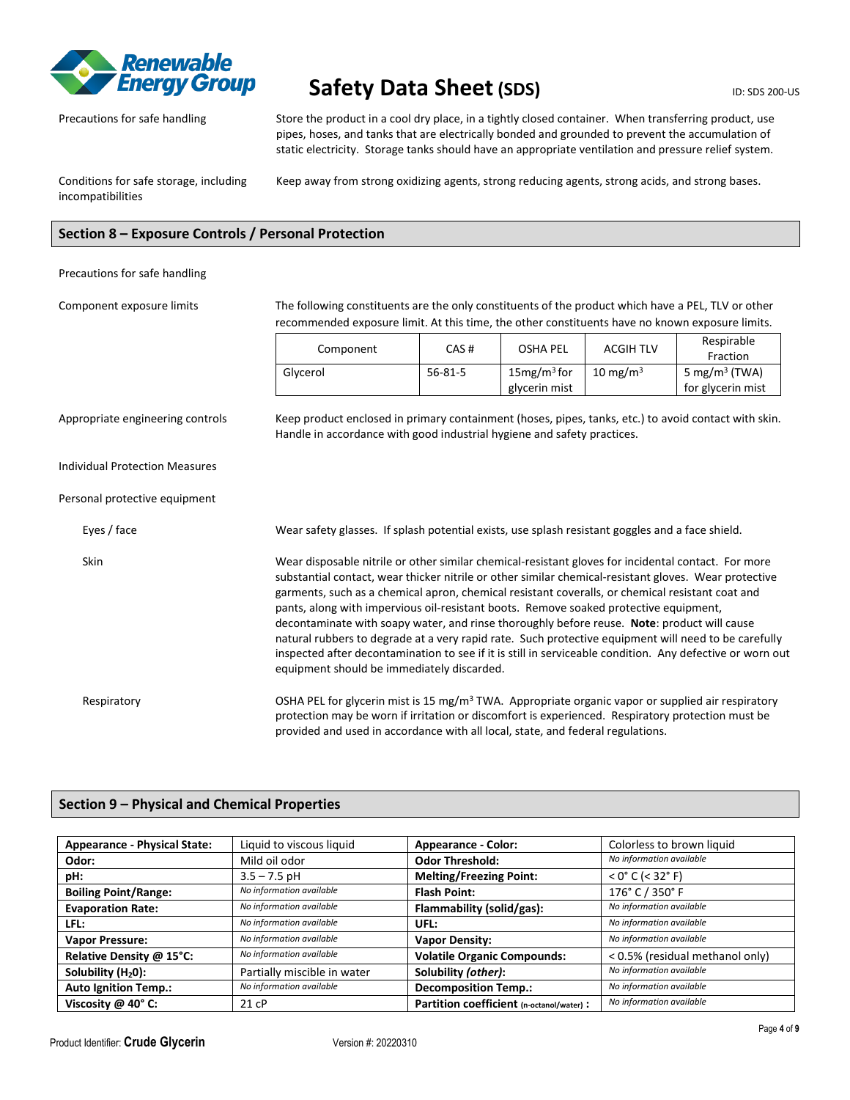

Precautions for safe handling Store the product in a cool dry place, in a tightly closed container. When transferring product, use pipes, hoses, and tanks that are electrically bonded and grounded to prevent the accumulation of static electricity. Storage tanks should have an appropriate ventilation and pressure relief system.

Conditions for safe storage, including incompatibilities

Keep away from strong oxidizing agents, strong reducing agents, strong acids, and strong bases.

## **Section 8 – Exposure Controls / Personal Protection**

#### Precautions for safe handling

Component exposure limits The following constituents are the only constituents of the product which have a PEL, TLV or other

recommended exposure limit. At this time, the other constituents have no known exposure limits. Component CAS # OSHA PEL ACGIH TLV Respirable Fraction Glycerol 56-81-5 and 15mg/m<sup>3</sup> for glycerin mist  $10$  mg/m<sup>3</sup> 5 mg/m<sup>3</sup> (TWA) for glycerin mist Appropriate engineering controls Keep product enclosed in primary containment (hoses, pipes, tanks, etc.) to avoid contact with skin. Handle in accordance with good industrial hygiene and safety practices.

Individual Protection Measures

### Personal protective equipment

Eyes / face Wear safety glasses. If splash potential exists, use splash resistant goggles and a face shield. Skin Wear disposable nitrile or other similar chemical-resistant gloves for incidental contact. For more substantial contact, wear thicker nitrile or other similar chemical-resistant gloves. Wear protective garments, such as a chemical apron, chemical resistant coveralls, or chemical resistant coat and pants, along with impervious oil-resistant boots. Remove soaked protective equipment, decontaminate with soapy water, and rinse thoroughly before reuse. **Note**: product will cause natural rubbers to degrade at a very rapid rate. Such protective equipment will need to be carefully inspected after decontamination to see if it is still in serviceable condition. Any defective or worn out equipment should be immediately discarded. Respiratory **CSHA PEL for glycerin mist is 15 mg/m<sup>3</sup> TWA.** Appropriate organic vapor or supplied air respiratory protection may be worn if irritation or discomfort is experienced. Respiratory protection must be

provided and used in accordance with all local, state, and federal regulations.

### **Section 9 – Physical and Chemical Properties**

| <b>Appearance - Physical State:</b> | Liquid to viscous liquid    | <b>Appearance - Color:</b>                | Colorless to brown liquid       |
|-------------------------------------|-----------------------------|-------------------------------------------|---------------------------------|
| Odor:                               | Mild oil odor               | <b>Odor Threshold:</b>                    | No information available        |
| pH:                                 | $3.5 - 7.5$ pH              | <b>Melting/Freezing Point:</b>            | $<$ 0° C ( $<$ 32° F)           |
| <b>Boiling Point/Range:</b>         | No information available    | <b>Flash Point:</b>                       | 176° C / 350° F                 |
| <b>Evaporation Rate:</b>            | No information available    | Flammability (solid/gas):                 | No information available        |
| LFL:                                | No information available    | UFL:                                      | No information available        |
| <b>Vapor Pressure:</b>              | No information available    | <b>Vapor Density:</b>                     | No information available        |
| Relative Density @ 15°C:            | No information available    | <b>Volatile Organic Compounds:</b>        | < 0.5% (residual methanol only) |
| Solubility $(H20)$ :                | Partially miscible in water | Solubility (other):                       | No information available        |
| <b>Auto Ignition Temp.:</b>         | No information available    | <b>Decomposition Temp.:</b>               | No information available        |
| Viscosity @ 40° C:                  | 21 cP                       | Partition coefficient (n-octanol/water) : | No information available        |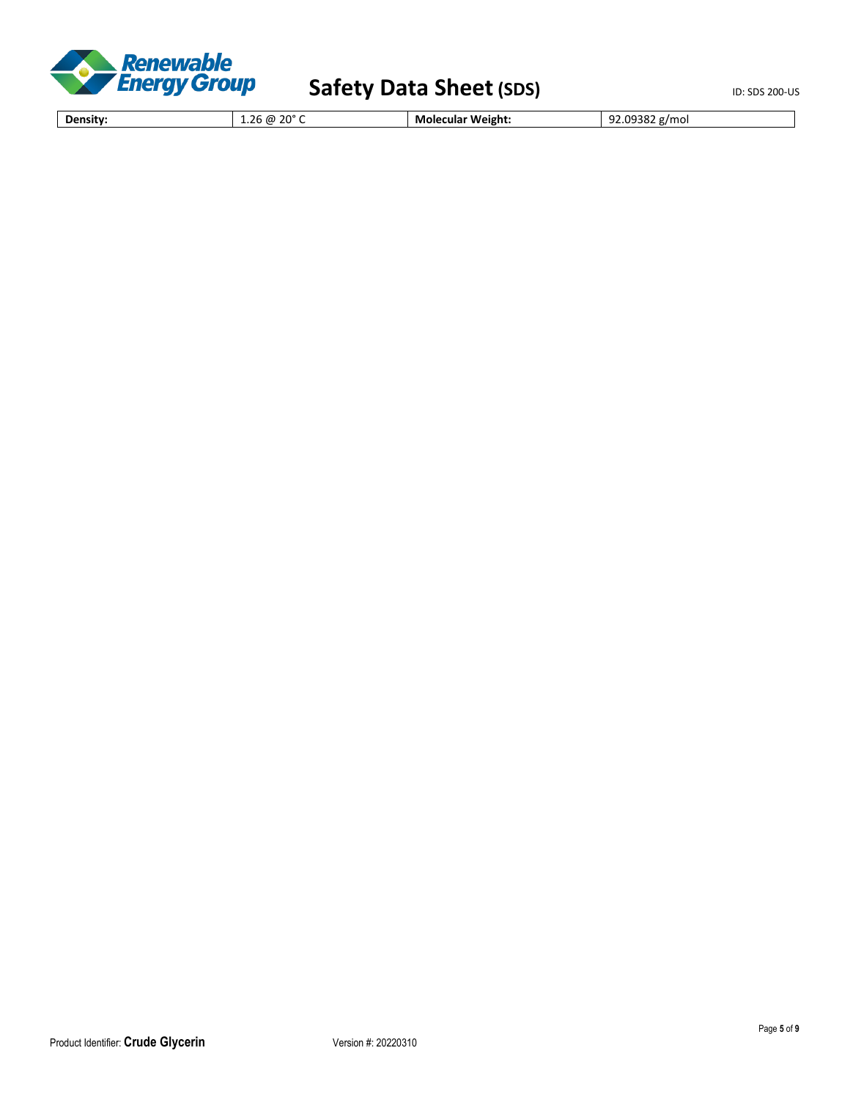

**Density:** 1.26 @ 20° C **Molecular Weight:** 92.09382 g/mol

Product Identifier: Crude Glycerin Version #: 20220310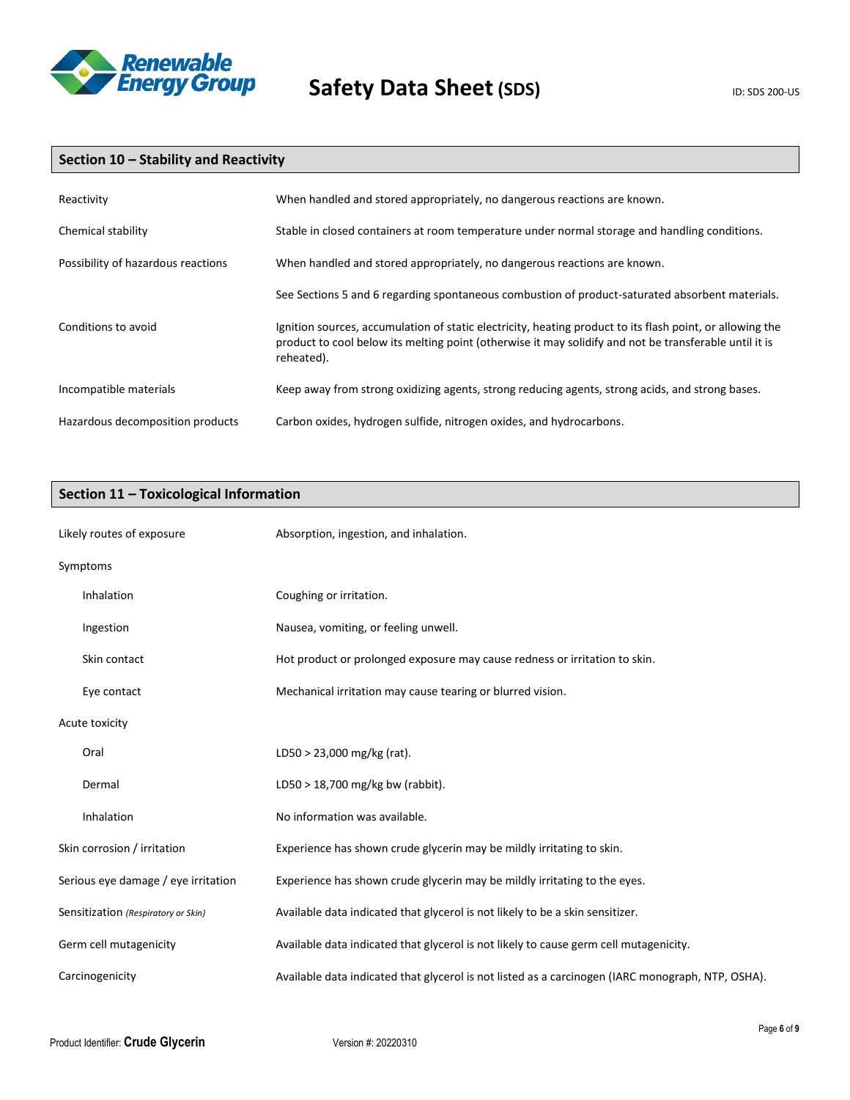

# **Section 10 – Stability and Reactivity**

| Reactivity                         | When handled and stored appropriately, no dangerous reactions are known.                                                                                                                                                          |
|------------------------------------|-----------------------------------------------------------------------------------------------------------------------------------------------------------------------------------------------------------------------------------|
| Chemical stability                 | Stable in closed containers at room temperature under normal storage and handling conditions.                                                                                                                                     |
| Possibility of hazardous reactions | When handled and stored appropriately, no dangerous reactions are known.                                                                                                                                                          |
|                                    | See Sections 5 and 6 regarding spontaneous combustion of product-saturated absorbent materials.                                                                                                                                   |
| Conditions to avoid                | Ignition sources, accumulation of static electricity, heating product to its flash point, or allowing the<br>product to cool below its melting point (otherwise it may solidify and not be transferable until it is<br>reheated). |
| Incompatible materials             | Keep away from strong oxidizing agents, strong reducing agents, strong acids, and strong bases.                                                                                                                                   |
| Hazardous decomposition products   | Carbon oxides, hydrogen sulfide, nitrogen oxides, and hydrocarbons.                                                                                                                                                               |

# **Section 11 – Toxicological Information**

| Likely routes of exposure           | Absorption, ingestion, and inhalation.                                                            |
|-------------------------------------|---------------------------------------------------------------------------------------------------|
| Symptoms                            |                                                                                                   |
| Inhalation                          | Coughing or irritation.                                                                           |
| Ingestion                           | Nausea, vomiting, or feeling unwell.                                                              |
| Skin contact                        | Hot product or prolonged exposure may cause redness or irritation to skin.                        |
| Eye contact                         | Mechanical irritation may cause tearing or blurred vision.                                        |
| Acute toxicity                      |                                                                                                   |
| Oral                                | LD50 > 23,000 mg/kg (rat).                                                                        |
| Dermal                              | LD50 > 18,700 mg/kg bw (rabbit).                                                                  |
| Inhalation                          | No information was available.                                                                     |
| Skin corrosion / irritation         | Experience has shown crude glycerin may be mildly irritating to skin.                             |
| Serious eye damage / eye irritation | Experience has shown crude glycerin may be mildly irritating to the eyes.                         |
| Sensitization (Respiratory or Skin) | Available data indicated that glycerol is not likely to be a skin sensitizer.                     |
| Germ cell mutagenicity              | Available data indicated that glycerol is not likely to cause germ cell mutagenicity.             |
| Carcinogenicity                     | Available data indicated that glycerol is not listed as a carcinogen (IARC monograph, NTP, OSHA). |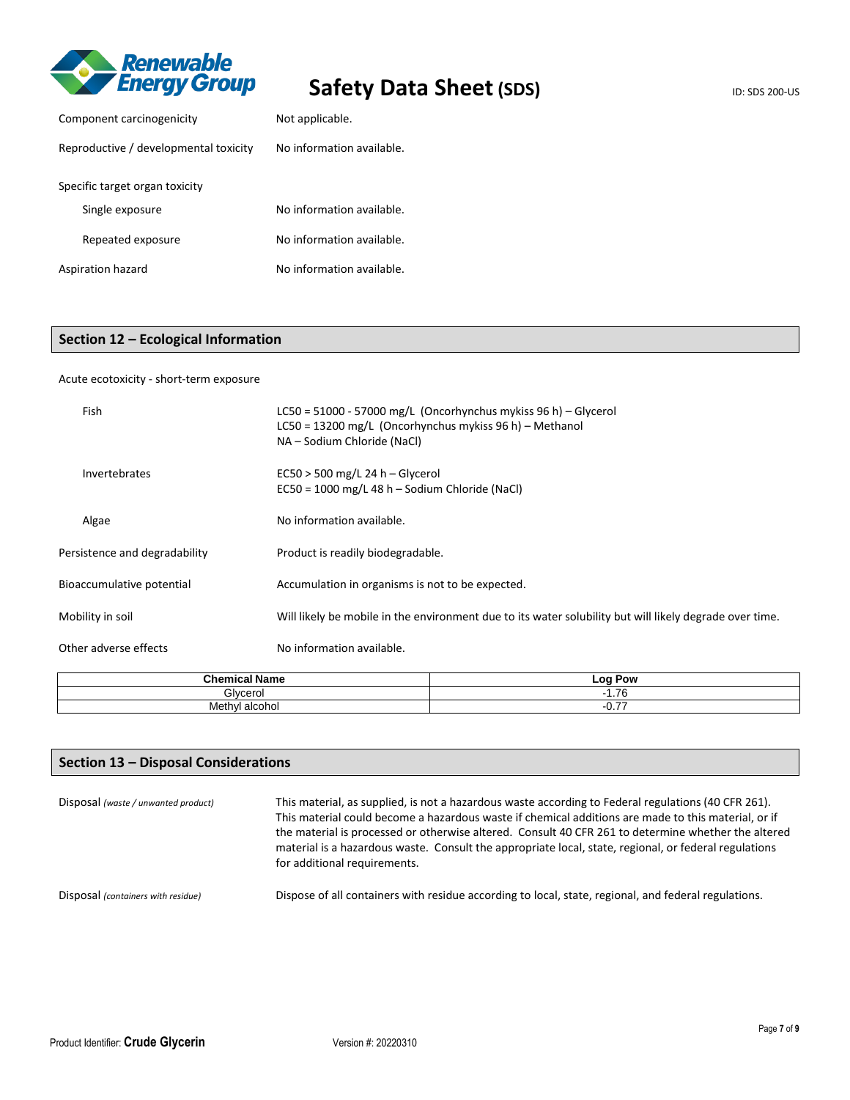

| Component carcinogenicity             | Not applicable.           |  |
|---------------------------------------|---------------------------|--|
| Reproductive / developmental toxicity | No information available. |  |
| Specific target organ toxicity        |                           |  |
| Single exposure                       | No information available. |  |
| Repeated exposure                     | No information available. |  |
| Aspiration hazard                     | No information available. |  |

# **Section 12 – Ecological Information**

### Acute ecotoxicity - short-term exposure

| Fish                          | LC50 = 51000 - 57000 mg/L (Oncorhynchus mykiss 96 h) – Glycerol<br>LC50 = 13200 mg/L (Oncorhynchus mykiss 96 h) - Methanol<br>NA - Sodium Chloride (NaCl) |
|-------------------------------|-----------------------------------------------------------------------------------------------------------------------------------------------------------|
| Invertebrates                 | $EC50 > 500$ mg/L 24 h – Glycerol<br>EC50 = 1000 mg/L 48 h - Sodium Chloride (NaCl)                                                                       |
| Algae                         | No information available.                                                                                                                                 |
| Persistence and degradability | Product is readily biodegradable.                                                                                                                         |
| Bioaccumulative potential     | Accumulation in organisms is not to be expected.                                                                                                          |
| Mobility in soil              | Will likely be mobile in the environment due to its water solubility but will likely degrade over time.                                                   |
| Other adverse effects         | No information available.                                                                                                                                 |

| $h$<br>∴n≀<br>шса<br><b>ים וופ</b> | $-0c$<br>Pow             |
|------------------------------------|--------------------------|
| Choroc                             | $\overline{\phantom{a}}$ |
| - 1                                | .                        |
| Meth                               | ___                      |
| alcoho                             | -                        |
| $\sim$                             | י.ט                      |

# **Section 13 – Disposal Considerations**

| Disposal (waste / unwanted product) | This material, as supplied, is not a hazardous waste according to Federal regulations (40 CFR 261).<br>This material could become a hazardous waste if chemical additions are made to this material, or if<br>the material is processed or otherwise altered. Consult 40 CFR 261 to determine whether the altered<br>material is a hazardous waste. Consult the appropriate local, state, regional, or federal regulations<br>for additional requirements. |
|-------------------------------------|------------------------------------------------------------------------------------------------------------------------------------------------------------------------------------------------------------------------------------------------------------------------------------------------------------------------------------------------------------------------------------------------------------------------------------------------------------|
| Disposal (containers with residue)  | Dispose of all containers with residue according to local, state, regional, and federal regulations.                                                                                                                                                                                                                                                                                                                                                       |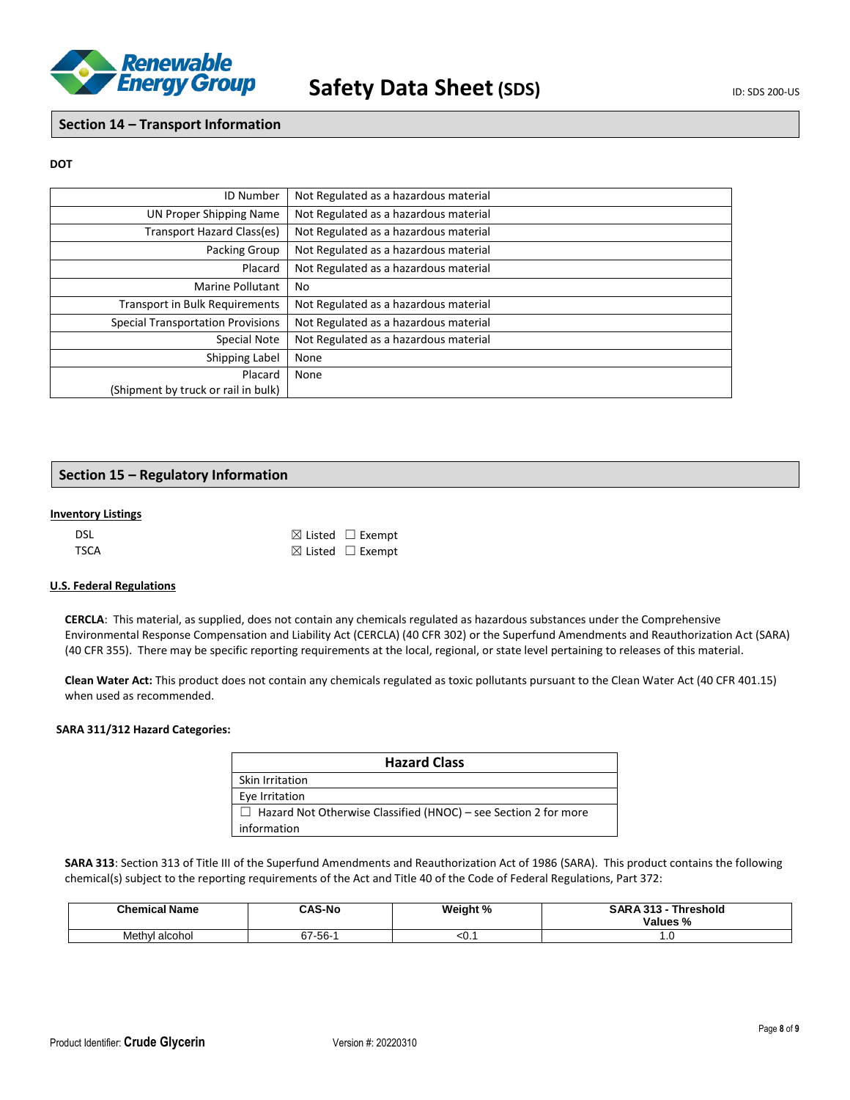

**Section 14 – Transport Information**

### **DOT**

| <b>ID Number</b>                         | Not Regulated as a hazardous material |
|------------------------------------------|---------------------------------------|
| UN Proper Shipping Name                  | Not Regulated as a hazardous material |
| Transport Hazard Class(es)               | Not Regulated as a hazardous material |
| Packing Group                            | Not Regulated as a hazardous material |
| Placard                                  | Not Regulated as a hazardous material |
| Marine Pollutant                         | No                                    |
| <b>Transport in Bulk Requirements</b>    | Not Regulated as a hazardous material |
| <b>Special Transportation Provisions</b> | Not Regulated as a hazardous material |
| Special Note                             | Not Regulated as a hazardous material |
| Shipping Label                           | None                                  |
| Placard                                  | None                                  |
| (Shipment by truck or rail in bulk)      |                                       |

## **Section 15 – Regulatory Information**

#### **Inventory Listings**

| <b>DSL</b>  | $\boxtimes$ Listed $\Box$ Exempt |
|-------------|----------------------------------|
| <b>TSCA</b> | $\boxtimes$ Listed $\Box$ Exempt |

### **U.S. Federal Regulations**

**CERCLA**: This material, as supplied, does not contain any chemicals regulated as hazardous substances under the Comprehensive Environmental Response Compensation and Liability Act (CERCLA) (40 CFR 302) or the Superfund Amendments and Reauthorization Act (SARA) (40 CFR 355). There may be specific reporting requirements at the local, regional, or state level pertaining to releases of this material.

**Clean Water Act:** This product does not contain any chemicals regulated as toxic pollutants pursuant to the Clean Water Act (40 CFR 401.15) when used as recommended.

### **SARA 311/312 Hazard Categories:**

| <b>Hazard Class</b>                                                    |
|------------------------------------------------------------------------|
| Skin Irritation                                                        |
| Eye Irritation                                                         |
| $\Box$ Hazard Not Otherwise Classified (HNOC) – see Section 2 for more |
| information                                                            |

**SARA 313**: Section 313 of Title III of the Superfund Amendments and Reauthorization Act of 1986 (SARA). This product contains the following chemical(s) subject to the reporting requirements of the Act and Title 40 of the Code of Federal Regulations, Part 372:

| <b>Chemical Name</b> | <b>CAS-No</b>           | Weight % | <b>SARA 313</b><br>242<br><b>Threshold</b><br>Values % |
|----------------------|-------------------------|----------|--------------------------------------------------------|
| alcohol<br>√Methyl.  | $-56-$<br>$\sim$<br>ס ו | <0. .    | ט.ו                                                    |